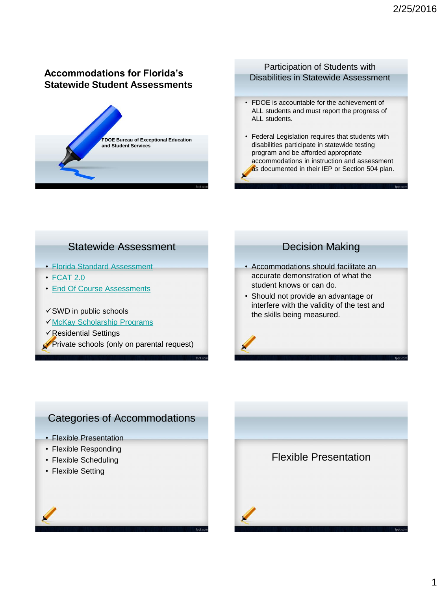## **Accommodations for Florida's Statewide Student Assessments**



#### Participation of Students with Disabilities in Statewide Assessment

- FDOE is accountable for the achievement of ALL students and must report the progress of ALL students.
- Federal Legislation requires that students with disabilities participate in statewide testing program and be afforded appropriate accommodations in instruction and assessment as documented in their IEP or Section 504 plan.

## Statewide Assessment

- [Florida Standard Assessment](http://www.fsassessments.org/)
- [FCAT 2.0](http://fcat.fldoe.org/resultsFCAT2/)
- [End Of Course Assessments](http://www.fldoe.org/accountability/assessments/k-12-student-assessment/end-of-course-eoc-assessments/index.stml)
- $\checkmark$ SWD in public schools
- [McKay Scholarship Programs](http://www.fldoe.org/schools/school-choice/k-12-scholarship-programs/mckay/)
- $\checkmark$  Residential Settings
- Private schools (only on parental request)

### Decision Making

- Accommodations should facilitate an accurate demonstration of what the student knows or can do.
- Should not provide an advantage or interfere with the validity of the test and the skills being measured.



# Categories of Accommodations

- Flexible Presentation
- Flexible Responding
- Flexible Scheduling
- Flexible Setting

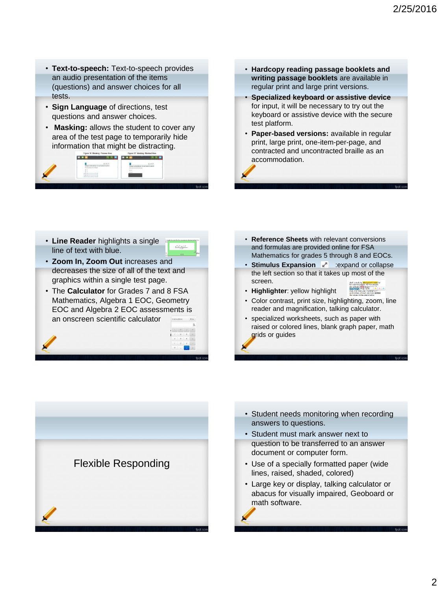- **Text-to-speech:** Text-to-speech provides an audio presentation of the items (questions) and answer choices for all tests.
- **Sign Language** of directions, test questions and answer choices.
- **Masking:** allows the student to cover any area of the test page to temporarily hide information that might be distracting.



- **Hardcopy reading passage booklets and writing passage booklets** are available in regular print and large print versions.
- **Specialized keyboard or assistive device**  for input, it will be necessary to try out the keyboard or assistive device with the secure test platform.
- **Paper-based versions:** available in regular print, large print, one-item-per-page, and contracted and uncontracted braille as an accommodation.

- **Line Reader** highlights a single line of text with blue.
	-
- **Zoom In, Zoom Out** increases and decreases the size of all of the text and graphics within a single test page.
- The **Calculator** for Grades 7 and 8 FSA Mathematics, Algebra 1 EOC, Geometry EOC and Algebra 2 EOC assessments is an onscreen scientific calculator



- **Reference Sheets** with relevant conversions and formulas are provided online for FSA Mathematics for grades 5 through 8 and EOCs.
- **Stimulus Expansion expand or collapse** the left section so that it takes up most of the screen.
- **Highlighter**: yellow highlight
- Color contrast, print size, highlighting, zoom, line reader and magnification, talking calculator.
- specialized worksheets, such as paper with raised or colored lines, blank graph paper, math grids or guides



- Student needs monitoring when recording answers to questions.
- Student must mark answer next to question to be transferred to an answer document or computer form.
- Use of a specially formatted paper (wide lines, raised, shaded, colored)
- Large key or display, talking calculator or abacus for visually impaired, Geoboard or math software.